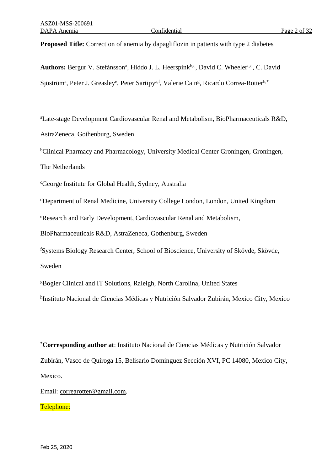**Proposed Title:** Correction of anemia by dapagliflozin in patients with type 2 diabetes

Authors: Bergur V. Stefánsson<sup>a</sup>, Hiddo J. L. Heerspink<sup>b,c</sup>, David C. Wheeler<sup>c,d</sup>, C. David Sjöström<sup>a</sup>, Peter J. Greasley<sup>e</sup>, Peter Sartipy<sup>a,f</sup>, Valerie Cain<sup>g</sup>, Ricardo Correa-Rotter<sup>h,\*</sup>

<sup>a</sup>Late-stage Development Cardiovascular Renal and Metabolism, BioPharmaceuticals R&D, AstraZeneca, Gothenburg, Sweden

<sup>b</sup>Clinical Pharmacy and Pharmacology, University Medical Center Groningen, Groningen,

The Netherlands

<sup>c</sup>George Institute for Global Health, Sydney, Australia

<sup>d</sup>Department of Renal Medicine, University College London, London, United Kingdom

<sup>e</sup>Research and Early Development, Cardiovascular Renal and Metabolism,

BioPharmaceuticals R&D, AstraZeneca, Gothenburg, Sweden

<sup>f</sup>Systems Biology Research Center, School of Bioscience, University of Skövde, Skövde, Sweden

<sup>g</sup>Bogier Clinical and IT Solutions, Raleigh, North Carolina, United States

<sup>h</sup>Instituto Nacional de Ciencias Médicas y Nutrición Salvador Zubirán, Mexico City, Mexico

**\*Corresponding author at**: Instituto Nacional de Ciencias Médicas y Nutrición Salvador Zubirán, Vasco de Quiroga 15, Belisario Dominguez Sección XVI, PC 14080, Mexico City, Mexico.

Email: [correarotter@gmail.com.](mailto:correarotter@gmail.com)

Telephone: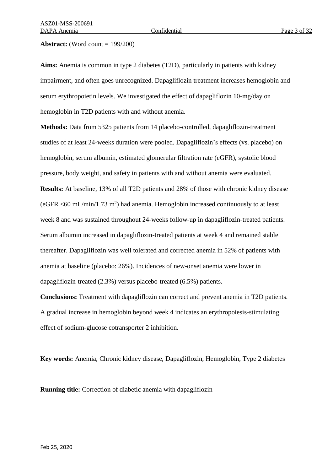#### **Abstract:** (Word count = 199/200)

**Aims:** Anemia is common in type 2 diabetes (T2D), particularly in patients with kidney impairment, and often goes unrecognized. Dapagliflozin treatment increases hemoglobin and serum erythropoietin levels. We investigated the effect of dapagliflozin 10-mg/day on hemoglobin in T2D patients with and without anemia.

**Methods:** Data from 5325 patients from 14 placebo-controlled, dapagliflozin-treatment studies of at least 24-weeks duration were pooled. Dapagliflozin's effects (vs. placebo) on hemoglobin, serum albumin, estimated glomerular filtration rate (eGFR), systolic blood pressure, body weight, and safety in patients with and without anemia were evaluated. **Results:** At baseline, 13% of all T2D patients and 28% of those with chronic kidney disease  $(eGFR < 60 \text{ mL/min}/1.73 \text{ m}^2)$  had anemia. Hemoglobin increased continuously to at least week 8 and was sustained throughout 24-weeks follow-up in dapagliflozin-treated patients. Serum albumin increased in dapagliflozin-treated patients at week 4 and remained stable thereafter. Dapagliflozin was well tolerated and corrected anemia in 52% of patients with anemia at baseline (placebo: 26%). Incidences of new-onset anemia were lower in dapagliflozin-treated (2.3%) versus placebo-treated (6.5%) patients.

**Conclusions:** Treatment with dapagliflozin can correct and prevent anemia in T2D patients. A gradual increase in hemoglobin beyond week 4 indicates an erythropoiesis-stimulating effect of sodium-glucose cotransporter 2 inhibition.

**Key words:** Anemia, Chronic kidney disease, Dapagliflozin, Hemoglobin, Type 2 diabetes

**Running title:** Correction of diabetic anemia with dapagliflozin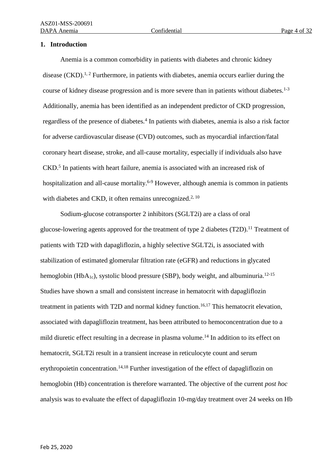## **1. Introduction**

Anemia is a common comorbidity in patients with diabetes and chronic kidney disease  $(CKD)$ .<sup>1, 2</sup> Furthermore, in patients with diabetes, anemia occurs earlier during the course of kidney disease progression and is more severe than in patients without diabetes.<sup>1-3</sup> Additionally, anemia has been identified as an independent predictor of CKD progression, regardless of the presence of diabetes.<sup>4</sup> In patients with diabetes, anemia is also a risk factor for adverse cardiovascular disease (CVD) outcomes, such as myocardial infarction/fatal coronary heart disease, stroke, and all-cause mortality, especially if individuals also have CKD.<sup>5</sup> In patients with heart failure, anemia is associated with an increased risk of hospitalization and all-cause mortality.<sup>6-9</sup> However, although anemia is common in patients with diabetes and CKD, it often remains unrecognized.<sup>2, 10</sup>

Sodium-glucose cotransporter 2 inhibitors (SGLT2i) are a class of oral glucose-lowering agents approved for the treatment of type 2 diabetes  $(T2D)$ .<sup>11</sup> Treatment of patients with T2D with dapagliflozin, a highly selective SGLT2i, is associated with stabilization of estimated glomerular filtration rate (eGFR) and reductions in glycated hemoglobin (HbA<sub>1c</sub>), systolic blood pressure (SBP), body weight, and albuminuria.<sup>12-15</sup> Studies have shown a small and consistent increase in hematocrit with dapagliflozin treatment in patients with T2D and normal kidney function. 16,17 This hematocrit elevation, associated with dapagliflozin treatment, has been attributed to hemoconcentration due to a mild diuretic effect resulting in a decrease in plasma volume.<sup>14</sup> In addition to its effect on hematocrit, SGLT2i result in a transient increase in reticulocyte count and serum erythropoietin concentration.<sup>14,18</sup> Further investigation of the effect of dapagliflozin on hemoglobin (Hb) concentration is therefore warranted. The objective of the current *post hoc* analysis was to evaluate the effect of dapagliflozin 10-mg/day treatment over 24 weeks on Hb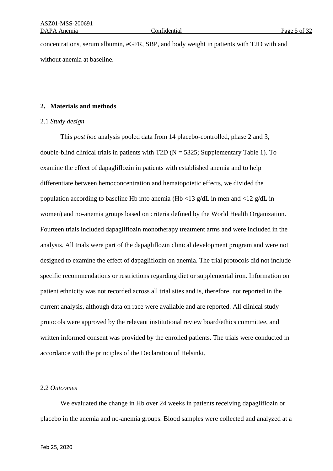concentrations, serum albumin, eGFR, SBP, and body weight in patients with T2D with and without anemia at baseline.

## **2. Materials and methods**

## 2.1 *Study design*

This *post hoc* analysis pooled data from 14 placebo-controlled, phase 2 and 3, double-blind clinical trials in patients with T2D ( $N = 5325$ ; Supplementary Table 1). To examine the effect of dapagliflozin in patients with established anemia and to help differentiate between hemoconcentration and hematopoietic effects, we divided the population according to baseline Hb into anemia (Hb <13 g/dL in men and <12 g/dL in women) and no-anemia groups based on criteria defined by the World Health Organization. Fourteen trials included dapagliflozin monotherapy treatment arms and were included in the analysis. All trials were part of the dapagliflozin clinical development program and were not designed to examine the effect of dapagliflozin on anemia. The trial protocols did not include specific recommendations or restrictions regarding diet or supplemental iron. Information on patient ethnicity was not recorded across all trial sites and is, therefore, not reported in the current analysis, although data on race were available and are reported. All clinical study protocols were approved by the relevant institutional review board/ethics committee, and written informed consent was provided by the enrolled patients. The trials were conducted in accordance with the principles of the Declaration of Helsinki.

## 2.2 *Outcomes*

We evaluated the change in Hb over 24 weeks in patients receiving dapagliflozin or placebo in the anemia and no-anemia groups. Blood samples were collected and analyzed at a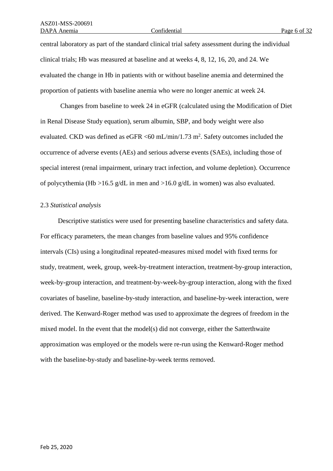central laboratory as part of the standard clinical trial safety assessment during the individual clinical trials; Hb was measured at baseline and at weeks 4, 8, 12, 16, 20, and 24. We evaluated the change in Hb in patients with or without baseline anemia and determined the proportion of patients with baseline anemia who were no longer anemic at week 24.

Changes from baseline to week 24 in eGFR (calculated using the Modification of Diet in Renal Disease Study equation), serum albumin, SBP, and body weight were also evaluated. CKD was defined as eGFR  $\leq 60$  mL/min/1.73 m<sup>2</sup>. Safety outcomes included the occurrence of adverse events (AEs) and serious adverse events (SAEs), including those of special interest (renal impairment, urinary tract infection, and volume depletion). Occurrence of polycythemia (Hb >16.5 g/dL in men and >16.0 g/dL in women) was also evaluated.

#### 2.3 *Statistical analysis*

Descriptive statistics were used for presenting baseline characteristics and safety data. For efficacy parameters, the mean changes from baseline values and 95% confidence intervals (CIs) using a longitudinal repeated-measures mixed model with fixed terms for study, treatment, week, group, week-by-treatment interaction, treatment-by-group interaction, week-by-group interaction, and treatment-by-week-by-group interaction, along with the fixed covariates of baseline, baseline-by-study interaction, and baseline-by-week interaction, were derived. The Kenward-Roger method was used to approximate the degrees of freedom in the mixed model. In the event that the model(s) did not converge, either the Satterthwaite approximation was employed or the models were re-run using the Kenward-Roger method with the baseline-by-study and baseline-by-week terms removed.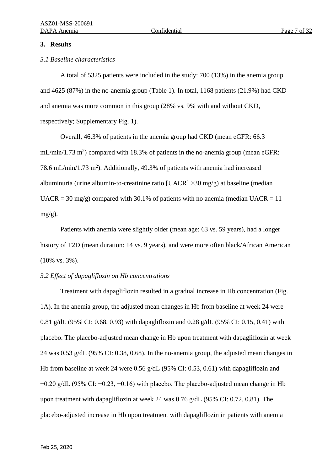## **3. Results**

## *3.1 Baseline characteristics*

A total of 5325 patients were included in the study: 700 (13%) in the anemia group and 4625 (87%) in the no-anemia group (Table 1). In total, 1168 patients (21.9%) had CKD and anemia was more common in this group (28% vs. 9% with and without CKD, respectively; Supplementary Fig. 1).

Overall, 46.3% of patients in the anemia group had CKD (mean eGFR: 66.3  $mL/min/1.73 m<sup>2</sup>$ ) compared with 18.3% of patients in the no-anemia group (mean eGFR: 78.6 mL/min/1.73 m<sup>2</sup>). Additionally, 49.3% of patients with anemia had increased albuminuria (urine albumin-to-creatinine ratio  $[UACR] > 30$  mg/g) at baseline (median  $UACR = 30$  mg/g) compared with 30.1% of patients with no anemia (median  $UACR = 11$  $mg/g$ ).

Patients with anemia were slightly older (mean age: 63 vs. 59 years), had a longer history of T2D (mean duration: 14 vs. 9 years), and were more often black/African American (10% vs. 3%).

## *3.2 Effect of dapagliflozin on Hb concentrations*

Treatment with dapagliflozin resulted in a gradual increase in Hb concentration (Fig. 1A). In the anemia group, the adjusted mean changes in Hb from baseline at week 24 were 0.81 g/dL (95% CI: 0.68, 0.93) with dapagliflozin and 0.28 g/dL (95% CI: 0.15, 0.41) with placebo. The placebo-adjusted mean change in Hb upon treatment with dapagliflozin at week 24 was 0.53 g/dL (95% CI: 0.38, 0.68). In the no-anemia group, the adjusted mean changes in Hb from baseline at week 24 were 0.56 g/dL (95% CI: 0.53, 0.61) with dapagliflozin and  $-0.20$  g/dL (95% CI:  $-0.23$ ,  $-0.16$ ) with placebo. The placebo-adjusted mean change in Hb upon treatment with dapagliflozin at week 24 was 0.76 g/dL (95% CI: 0.72, 0.81). The placebo-adjusted increase in Hb upon treatment with dapagliflozin in patients with anemia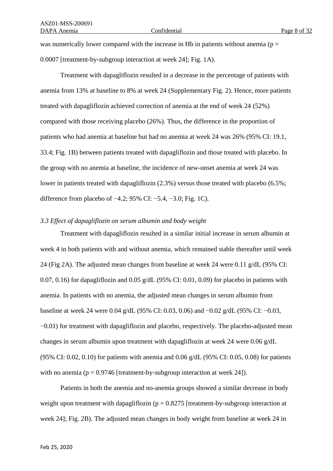was numerically lower compared with the increase in Hb in patients without anemia ( $p =$ 0.0007 [treatment-by-subgroup interaction at week 24]; Fig. 1A).

Treatment with dapagliflozin resulted in a decrease in the percentage of patients with anemia from 13% at baseline to 8% at week 24 (Supplementary Fig. 2). Hence, more patients treated with dapagliflozin achieved correction of anemia at the end of week 24 (52%) compared with those receiving placebo (26%). Thus, the difference in the proportion of patients who had anemia at baseline but had no anemia at week 24 was 26% (95% CI: 19.1, 33.4; Fig. 1B) between patients treated with dapagliflozin and those treated with placebo. In the group with no anemia at baseline, the incidence of new-onset anemia at week 24 was lower in patients treated with dapagliflozin (2.3%) versus those treated with placebo (6.5%; difference from placebo of −4.2; 95% CI: −5.4, −3.0; Fig. 1C).

## *3.3 Effect of dapagliflozin on serum albumin and body weight*

Treatment with dapagliflozin resulted in a similar initial increase in serum albumin at week 4 in both patients with and without anemia, which remained stable thereafter until week 24 (Fig 2A). The adjusted mean changes from baseline at week 24 were 0.11 g/dL (95% CI: 0.07, 0.16) for dapagliflozin and 0.05 g/dL (95% CI: 0.01, 0.09) for placebo in patients with anemia. In patients with no anemia, the adjusted mean changes in serum albumin from baseline at week 24 were 0.04 g/dL (95% CI: 0.03, 0.06) and −0.02 g/dL (95% CI: −0.03, −0.01) for treatment with dapagliflozin and placebo, respectively. The placebo-adjusted mean changes in serum albumin upon treatment with dapagliflozin at week 24 were 0.06 g/dL (95% CI: 0.02, 0.10) for patients with anemia and 0.06 g/dL (95% CI: 0.05, 0.08) for patients with no anemia ( $p = 0.9746$  [treatment-by-subgroup interaction at week 24]).

Patients in both the anemia and no-anemia groups showed a similar decrease in body weight upon treatment with dapagliflozin ( $p = 0.8275$  [treatment-by-subgroup interaction at week 24]; Fig. 2B). The adjusted mean changes in body weight from baseline at week 24 in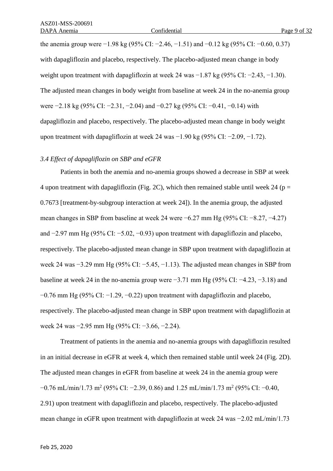the anemia group were −1.98 kg (95% CI: −2.46, −1.51) and −0.12 kg (95% CI: −0.60, 0.37) with dapagliflozin and placebo, respectively. The placebo-adjusted mean change in body weight upon treatment with dapagliflozin at week 24 was −1.87 kg (95% CI: −2.43, −1.30). The adjusted mean changes in body weight from baseline at week 24 in the no-anemia group were −2.18 kg (95% CI: −2.31, −2.04) and −0.27 kg (95% CI: −0.41, −0.14) with dapagliflozin and placebo, respectively. The placebo-adjusted mean change in body weight upon treatment with dapagliflozin at week 24 was −1.90 kg (95% CI: −2.09, −1.72).

## *3.4 Effect of dapagliflozin on SBP and eGFR*

Patients in both the anemia and no-anemia groups showed a decrease in SBP at week 4 upon treatment with dapagliflozin (Fig. 2C), which then remained stable until week 24 ( $p =$ 0.7673 [treatment-by-subgroup interaction at week 24]). In the anemia group, the adjusted mean changes in SBP from baseline at week 24 were −6.27 mm Hg (95% CI: −8.27, −4.27) and −2.97 mm Hg (95% CI: −5.02, −0.93) upon treatment with dapagliflozin and placebo, respectively. The placebo-adjusted mean change in SBP upon treatment with dapagliflozin at week 24 was −3.29 mm Hg (95% CI: −5.45, −1.13). The adjusted mean changes in SBP from baseline at week 24 in the no-anemia group were  $-3.71$  mm Hg (95% CI:  $-4.23, -3.18$ ) and  $-0.76$  mm Hg (95% CI:  $-1.29$ ,  $-0.22$ ) upon treatment with dapagliflozin and placebo, respectively. The placebo-adjusted mean change in SBP upon treatment with dapagliflozin at week 24 was −2.95 mm Hg (95% CI: −3.66, −2.24).

Treatment of patients in the anemia and no-anemia groups with dapagliflozin resulted in an initial decrease in eGFR at week 4, which then remained stable until week 24 (Fig. 2D). The adjusted mean changes in eGFR from baseline at week 24 in the anemia group were  $-0.76$  mL/min/1.73 m<sup>2</sup> (95% CI: −2.39, 0.86) and 1.25 mL/min/1.73 m<sup>2</sup> (95% CI: −0.40, 2.91) upon treatment with dapagliflozin and placebo, respectively. The placebo-adjusted mean change in eGFR upon treatment with dapagliflozin at week 24 was −2.02 mL/min/1.73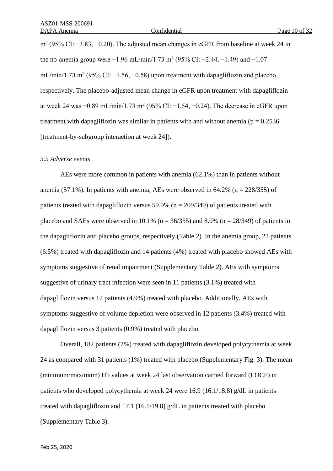m<sup>2</sup> (95% CI: −3.83, −0.20). The adjusted mean changes in eGFR from baseline at week 24 in the no-anemia group were  $-1.96$  mL/min/1.73 m<sup>2</sup> (95% CI:  $-2.44$ ,  $-1.49$ ) and  $-1.07$ mL/min/1.73 m<sup>2</sup> (95% CI:  $-1.56, -0.58$ ) upon treatment with dapagliflozin and placebo, respectively. The placebo-adjusted mean change in eGFR upon treatment with dapagliflozin at week 24 was  $-0.89$  mL/min/1.73 m<sup>2</sup> (95% CI:  $-1.54$ ,  $-0.24$ ). The decrease in eGFR upon treatment with dapagliflozin was similar in patients with and without anemia ( $p = 0.2536$ ) [treatment-by-subgroup interaction at week 24]).

#### *3.5 Adverse events*

AEs were more common in patients with anemia (62.1%) than in patients without anemia (57.1%). In patients with anemia, AEs were observed in  $64.2\%$  (n = 228/355) of patients treated with dapagliflozin versus 59.9% ( $n = 209/349$ ) of patients treated with placebo and SAEs were observed in 10.1% ( $n = 36/355$ ) and 8.0% ( $n = 28/349$ ) of patients in the dapagliflozin and placebo groups, respectively (Table 2). In the anemia group, 23 patients (6.5%) treated with dapagliflozin and 14 patients (4%) treated with placebo showed AEs with symptoms suggestive of renal impairment (Supplementary Table 2). AEs with symptoms suggestive of urinary tract infection were seen in 11 patients (3.1%) treated with dapagliflozin versus 17 patients (4.9%) treated with placebo. Additionally, AEs with symptoms suggestive of volume depletion were observed in 12 patients (3.4%) treated with dapagliflozin versus 3 patients (0.9%) treated with placebo.

Overall, 182 patients (7%) treated with dapagliflozin developed polycythemia at week 24 as compared with 31 patients (1%) treated with placebo (Supplementary Fig. 3). The mean (minimum/maximum) Hb values at week 24 last observation carried forward (LOCF) in patients who developed polycythemia at week 24 were 16.9 (16.1/18.8) g/dL in patients treated with dapagliflozin and 17.1 (16.1/19.8) g/dL in patients treated with placebo (Supplementary Table 3).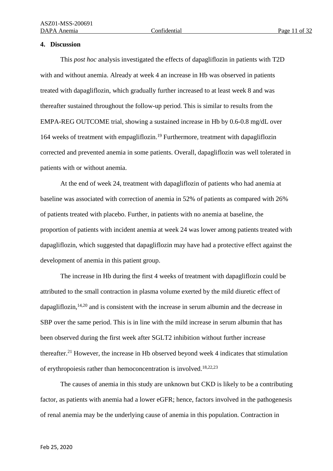## **4. Discussion**

This *post hoc* analysis investigated the effects of dapagliflozin in patients with T2D with and without anemia. Already at week 4 an increase in Hb was observed in patients treated with dapagliflozin, which gradually further increased to at least week 8 and was thereafter sustained throughout the follow-up period. This is similar to results from the EMPA-REG OUTCOME trial, showing a sustained increase in Hb by 0.6-0.8 mg/dL over 164 weeks of treatment with empagliflozin. <sup>19</sup> Furthermore, treatment with dapagliflozin corrected and prevented anemia in some patients. Overall, dapagliflozin was well tolerated in patients with or without anemia.

At the end of week 24, treatment with dapagliflozin of patients who had anemia at baseline was associated with correction of anemia in 52% of patients as compared with 26% of patients treated with placebo. Further, in patients with no anemia at baseline, the proportion of patients with incident anemia at week 24 was lower among patients treated with dapagliflozin, which suggested that dapagliflozin may have had a protective effect against the development of anemia in this patient group.

The increase in Hb during the first 4 weeks of treatment with dapagliflozin could be attributed to the small contraction in plasma volume exerted by the mild diuretic effect of dapagliflozin,<sup>14,20</sup> and is consistent with the increase in serum albumin and the decrease in SBP over the same period. This is in line with the mild increase in serum albumin that has been observed during the first week after SGLT2 inhibition without further increase thereafter. <sup>21</sup> However, the increase in Hb observed beyond week 4 indicates that stimulation of erythropoiesis rather than hemoconcentration is involved.<sup>18,22,23</sup>

The causes of anemia in this study are unknown but CKD is likely to be a contributing factor, as patients with anemia had a lower eGFR; hence, factors involved in the pathogenesis of renal anemia may be the underlying cause of anemia in this population. Contraction in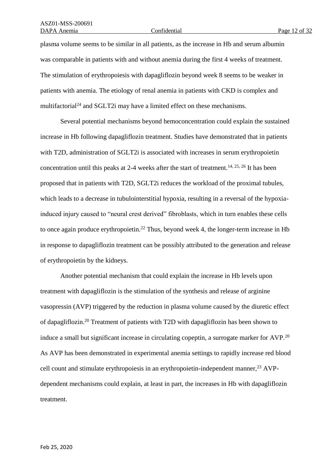plasma volume seems to be similar in all patients, as the increase in Hb and serum albumin was comparable in patients with and without anemia during the first 4 weeks of treatment. The stimulation of erythropoiesis with dapagliflozin beyond week 8 seems to be weaker in patients with anemia. The etiology of renal anemia in patients with CKD is complex and multifactorial<sup>24</sup> and SGLT2i may have a limited effect on these mechanisms.

Several potential mechanisms beyond hemoconcentration could explain the sustained increase in Hb following dapagliflozin treatment. Studies have demonstrated that in patients with T2D, administration of SGLT2i is associated with increases in serum erythropoietin concentration until this peaks at 2-4 weeks after the start of treatment.<sup>14, 25, 26</sup> It has been proposed that in patients with T2D, SGLT2i reduces the workload of the proximal tubules, which leads to a decrease in tubulointerstitial hypoxia, resulting in a reversal of the hypoxiainduced injury caused to "neural crest derived" fibroblasts, which in turn enables these cells to once again produce erythropoietin.<sup>22</sup> Thus, beyond week 4, the longer-term increase in Hb in response to dapagliflozin treatment can be possibly attributed to the generation and release of erythropoietin by the kidneys.

Another potential mechanism that could explain the increase in Hb levels upon treatment with dapagliflozin is the stimulation of the synthesis and release of arginine vasopressin (AVP) triggered by the reduction in plasma volume caused by the diuretic effect of dapagliflozin.<sup>20</sup> Treatment of patients with T2D with dapagliflozin has been shown to induce a small but significant increase in circulating copeptin, a surrogate marker for AVP.<sup>20</sup> As AVP has been demonstrated in experimental anemia settings to rapidly increase red blood cell count and stimulate erythropoiesis in an erythropoietin-independent manner,  $^{23}$  AVPdependent mechanisms could explain, at least in part, the increases in Hb with dapagliflozin treatment.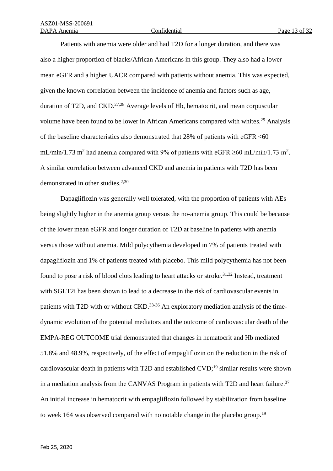Patients with anemia were older and had T2D for a longer duration, and there was also a higher proportion of blacks/African Americans in this group. They also had a lower mean eGFR and a higher UACR compared with patients without anemia. This was expected, given the known correlation between the incidence of anemia and factors such as age, duration of T2D, and CKD.<sup>27,28</sup> Average levels of Hb, hematocrit, and mean corpuscular volume have been found to be lower in African Americans compared with whites.<sup>29</sup> Analysis of the baseline characteristics also demonstrated that 28% of patients with eGFR <60 mL/min/1.73 m<sup>2</sup> had anemia compared with 9% of patients with eGFR  $\geq$ 60 mL/min/1.73 m<sup>2</sup>. A similar correlation between advanced CKD and anemia in patients with T2D has been demonstrated in other studies.<sup>2,30</sup>

Dapagliflozin was generally well tolerated, with the proportion of patients with AEs being slightly higher in the anemia group versus the no-anemia group. This could be because of the lower mean eGFR and longer duration of T2D at baseline in patients with anemia versus those without anemia. Mild polycythemia developed in 7% of patients treated with dapagliflozin and 1% of patients treated with placebo. This mild polycythemia has not been found to pose a risk of blood clots leading to heart attacks or stroke.<sup>31,32</sup> Instead, treatment with SGLT2i has been shown to lead to a decrease in the risk of cardiovascular events in patients with T2D with or without CKD.<sup>33-36</sup> An exploratory mediation analysis of the timedynamic evolution of the potential mediators and the outcome of cardiovascular death of the EMPA-REG OUTCOME trial demonstrated that changes in hematocrit and Hb mediated 51.8% and 48.9%, respectively, of the effect of empagliflozin on the reduction in the risk of cardiovascular death in patients with T2D and established CVD;<sup>19</sup> similar results were shown in a mediation analysis from the CANVAS Program in patients with T2D and heart failure. 37 An initial increase in hematocrit with empagliflozin followed by stabilization from baseline to week 164 was observed compared with no notable change in the placebo group.<sup>19</sup>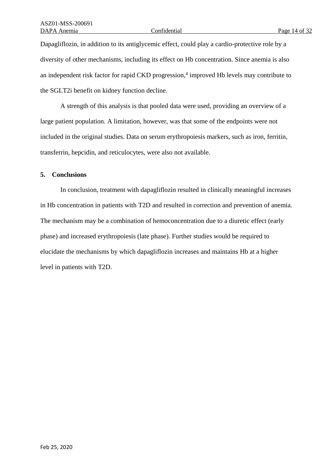Dapagliflozin, in addition to its antiglycemic effect, could play a cardio-protective role by a diversity of other mechanisms, including its effect on Hb concentration. Since anemia is also an independent risk factor for rapid CKD progression,<sup>4</sup> improved Hb levels may contribute to the SGLT2i benefit on kidney function decline.

A strength of this analysis is that pooled data were used, providing an overview of a large patient population. A limitation, however, was that some of the endpoints were not included in the original studies. Data on serum erythropoiesis markers, such as iron, ferritin, transferrin, hepcidin, and reticulocytes, were also not available.

## **5. Conclusions**

In conclusion, treatment with dapagliflozin resulted in clinically meaningful increases in Hb concentration in patients with T2D and resulted in correction and prevention of anemia. The mechanism may be a combination of hemoconcentration due to a diuretic effect (early phase) and increased erythropoiesis (late phase). Further studies would be required to elucidate the mechanisms by which dapagliflozin increases and maintains Hb at a higher level in patients with T2D.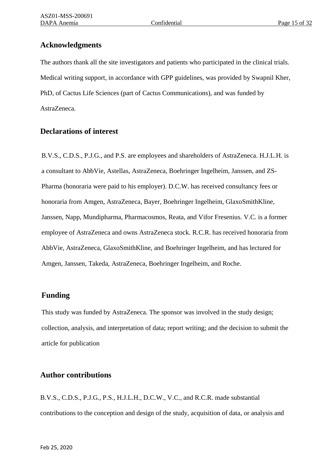# **Acknowledgments**

The authors thank all the site investigators and patients who participated in the clinical trials. Medical writing support, in accordance with GPP guidelines, was provided by Swapnil Kher, PhD, of Cactus Life Sciences (part of Cactus Communications), and was funded by AstraZeneca.

# **Declarations of interest**

B.V.S., C.D.S., P.J.G., and P.S. are employees and shareholders of AstraZeneca. H.J.L.H. is a consultant to AbbVie, Astellas, AstraZeneca, Boehringer Ingelheim, Janssen, and ZS-Pharma (honoraria were paid to his employer). D.C.W. has received consultancy fees or honoraria from Amgen, AstraZeneca, Bayer, Boehringer Ingelheim, GlaxoSmithKline, Janssen, Napp, Mundipharma, Pharmacosmos, Reata, and Vifor Fresenius. V.C. is a former employee of AstraZeneca and owns AstraZeneca stock. R.C.R. has received honoraria from AbbVie, AstraZeneca, GlaxoSmithKline, and Boehringer Ingelheim, and has lectured for Amgen, Janssen, Takeda, AstraZeneca, Boehringer Ingelheim, and Roche.

# **Funding**

This study was funded by AstraZeneca. The sponsor was involved in the study design; collection, analysis, and interpretation of data; report writing; and the decision to submit the article for publication

# **Author contributions**

B.V.S., C.D.S., P.J.G., P.S., H.J.L.H., D.C.W., V.C., and R.C.R. made substantial contributions to the conception and design of the study, acquisition of data, or analysis and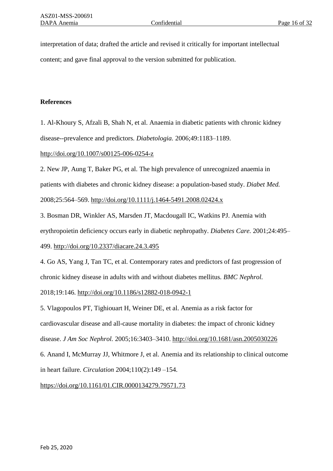interpretation of data; drafted the article and revised it critically for important intellectual content; and gave final approval to the version submitted for publication.

## **References**

1. Al-Khoury S, Afzali B, Shah N, et al. Anaemia in diabetic patients with chronic kidney disease--prevalence and predictors. *Diabetologia.* 2006;49:1183–1189.

## <http://doi.org/10.1007/s00125-006-0254-z>

2. New JP, Aung T, Baker PG, et al. The high prevalence of unrecognized anaemia in patients with diabetes and chronic kidney disease: a population-based study. *Diabet Med.* 2008;25:564–569.<http://doi.org/10.1111/j.1464-5491.2008.02424.x>

3. Bosman DR, Winkler AS, Marsden JT, Macdougall IC, Watkins PJ. Anemia with erythropoietin deficiency occurs early in diabetic nephropathy. *Diabetes Care.* 2001;24:495– 499.<http://doi.org/10.2337/diacare.24.3.495>

4. Go AS, Yang J, Tan TC, et al. Contemporary rates and predictors of fast progression of chronic kidney disease in adults with and without diabetes mellitus. *BMC Nephrol.*

2018;19:146.<http://doi.org/10.1186/s12882-018-0942-1>

5. Vlagopoulos PT, Tighiouart H, Weiner DE, et al. Anemia as a risk factor for cardiovascular disease and all-cause mortality in diabetes: the impact of chronic kidney disease. *J Am Soc Nephrol.* 2005;16:3403–3410.<http://doi.org/10.1681/asn.2005030226> 6. Anand I, McMurray JJ, Whitmore J, et al. Anemia and its relationship to clinical outcome in heart failure. *Circulation* 2004;110(2):149 –154.

<https://doi.org/10.1161/01.CIR.0000134279.79571.73>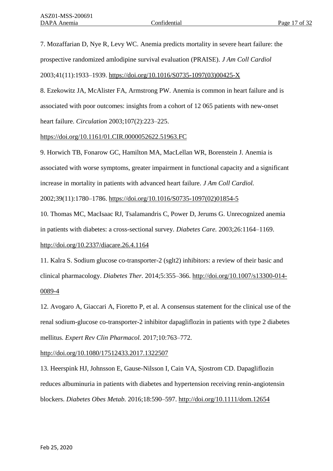7. Mozaffarian D, Nye R, Levy WC. Anemia predicts mortality in severe heart failure: the prospective randomized amlodipine survival evaluation (PRAISE). *J Am Coll Cardiol* 2003;41(11):1933–1939. [https://doi.org/10.1016/S0735-1097\(03\)00425-X](https://doi.org/10.1016/S0735-1097(03)00425-X)

8. Ezekowitz JA, McAlister FA, Armstrong PW. Anemia is common in heart failure and is associated with poor outcomes: insights from a cohort of 12 065 patients with new-onset heart failure. *Circulation* 2003;107(2):223–225.

## <https://doi.org/10.1161/01.CIR.0000052622.51963.FC>

9. Horwich TB, Fonarow GC, Hamilton MA, MacLellan WR, Borenstein J. Anemia is associated with worse symptoms, greater impairment in functional capacity and a significant increase in mortality in patients with advanced heart failure. *J Am Coll Cardiol.* 2002;39(11):1780–1786. [https://doi.org/10.1016/S0735-1097\(02\)01854-5](https://doi.org/10.1016/S0735-1097(02)01854-5)

10. Thomas MC, MacIsaac RJ, Tsalamandris C, Power D, Jerums G. Unrecognized anemia in patients with diabetes: a cross-sectional survey. *Diabetes Care.* 2003;26:1164–1169.

## <http://doi.org/10.2337/diacare.26.4.1164>

11. Kalra S. Sodium glucose co-transporter-2 (sglt2) inhibitors: a review of their basic and clinical pharmacology. *Diabetes Ther.* 2014;5:355–366. [http://doi.org/10.1007/s13300-014-](http://doi.org/10.1007/s13300-014-0089-4) [0089-4](http://doi.org/10.1007/s13300-014-0089-4)

12. Avogaro A, Giaccari A, Fioretto P, et al. A consensus statement for the clinical use of the renal sodium-glucose co-transporter-2 inhibitor dapagliflozin in patients with type 2 diabetes mellitus. *Expert Rev Clin Pharmacol.* 2017;10:763–772.

<http://doi.org/10.1080/17512433.2017.1322507>

13. Heerspink HJ, Johnsson E, Gause-Nilsson I, Cain VA, Sjostrom CD. Dapagliflozin reduces albuminuria in patients with diabetes and hypertension receiving renin-angiotensin blockers. *Diabetes Obes Metab.* 2016;18:590–597.<http://doi.org/10.1111/dom.12654>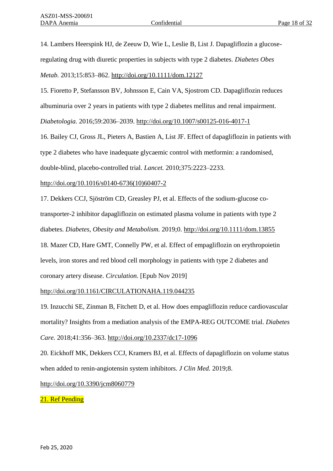14. Lambers Heerspink HJ, de Zeeuw D, Wie L, Leslie B, List J. Dapagliflozin a glucoseregulating drug with diuretic properties in subjects with type 2 diabetes. *Diabetes Obes Metab.* 2013;15:853–862.<http://doi.org/10.1111/dom.12127>

15. Fioretto P, Stefansson BV, Johnsson E, Cain VA, Sjostrom CD. Dapagliflozin reduces albuminuria over 2 years in patients with type 2 diabetes mellitus and renal impairment.

*Diabetologia.* 2016;59:2036–2039.<http://doi.org/10.1007/s00125-016-4017-1>

16. Bailey CJ, Gross JL, Pieters A, Bastien A, List JF. Effect of dapagliflozin in patients with type 2 diabetes who have inadequate glycaemic control with metformin: a randomised, double-blind, placebo-controlled trial. *Lancet.* 2010;375:2223–2233.

## [http://doi.org/10.1016/s0140-6736\(10\)60407-2](http://doi.org/10.1016/s0140-6736(10)60407-2)

17. Dekkers CCJ, Sjöström CD, Greasley PJ, et al. Effects of the sodium-glucose cotransporter-2 inhibitor dapagliflozin on estimated plasma volume in patients with type 2 diabetes. *Diabetes, Obesity and Metabolism.* 2019;0.<http://doi.org/10.1111/dom.13855> 18. Mazer CD, Hare GMT, Connelly PW, et al. Effect of empagliflozin on erythropoietin

levels, iron stores and red blood cell morphology in patients with type 2 diabetes and coronary artery disease. *Circulation.* [Epub Nov 2019]

# http://doi.org/10.1161/CIRCULATIONAHA.119.044235

19. Inzucchi SE, Zinman B, Fitchett D, et al. How does empagliflozin reduce cardiovascular mortality? Insights from a mediation analysis of the EMPA-REG OUTCOME trial. *Diabetes Care.* 2018;41:356–363.<http://doi.org/10.2337/dc17-1096>

20. Eickhoff MK, Dekkers CCJ, Kramers BJ, et al. Effects of dapagliflozin on volume status when added to renin-angiotensin system inhibitors. *J Clin Med.* 2019;8.

<http://doi.org/10.3390/jcm8060779>

21. Ref Pending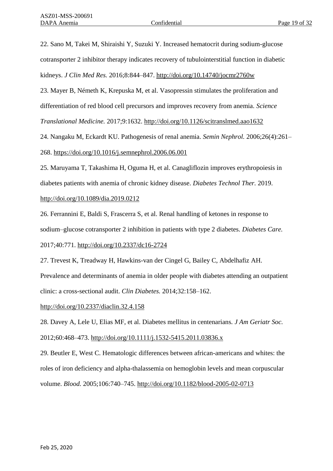22. Sano M, Takei M, Shiraishi Y, Suzuki Y. Increased hematocrit during sodium-glucose cotransporter 2 inhibitor therapy indicates recovery of tubulointerstitial function in diabetic kidneys. *J Clin Med Res.* 2016;8:844–847.<http://doi.org/10.14740/jocmr2760w>

23. Mayer B, Németh K, Krepuska M, et al. Vasopressin stimulates the proliferation and differentiation of red blood cell precursors and improves recovery from anemia. *Science* 

*Translational Medicine.* 2017;9:1632.<http://doi.org/10.1126/scitranslmed.aao1632>

24. Nangaku M, Eckardt KU. Pathogenesis of renal anemia. *Semin Nephrol.* 2006;26(4):261–

268.<https://doi.org/10.1016/j.semnephrol.2006.06.001>

25. Maruyama T, Takashima H, Oguma H, et al. Canagliflozin improves erythropoiesis in diabetes patients with anemia of chronic kidney disease. *Diabetes Technol Ther.* 2019. <http://doi.org/10.1089/dia.2019.0212>

26. Ferrannini E, Baldi S, Frascerra S, et al. Renal handling of ketones in response to sodium–glucose cotransporter 2 inhibition in patients with type 2 diabetes. *Diabetes Care.*

2017;40:771.<http://doi.org/10.2337/dc16-2724>

27. Trevest K, Treadway H, Hawkins-van der Cingel G, Bailey C, Abdelhafiz AH. Prevalence and determinants of anemia in older people with diabetes attending an outpatient clinic: a cross-sectional audit. *Clin Diabetes.* 2014;32:158–162.

<http://doi.org/10.2337/diaclin.32.4.158>

28. Davey A, Lele U, Elias MF, et al. Diabetes mellitus in centenarians. *J Am Geriatr Soc.* 2012;60:468–473.<http://doi.org/10.1111/j.1532-5415.2011.03836.x>

29. Beutler E, West C. Hematologic differences between african-americans and whites: the roles of iron deficiency and alpha-thalassemia on hemoglobin levels and mean corpuscular volume. *Blood.* 2005;106:740–745.<http://doi.org/10.1182/blood-2005-02-0713>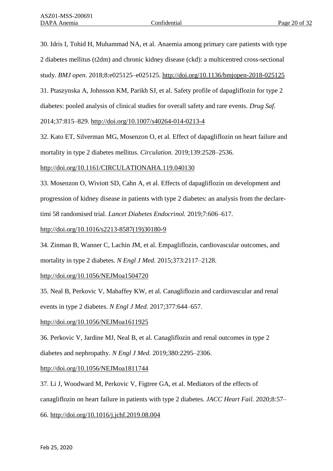30. Idris I, Tohid H, Muhammad NA, et al. Anaemia among primary care patients with type 2 diabetes mellitus (t2dm) and chronic kidney disease (ckd): a multicentred cross-sectional study. *BMJ open.* 2018;8:e025125–e025125.<http://doi.org/10.1136/bmjopen-2018-025125> 31. Ptaszynska A, Johnsson KM, Parikh SJ, et al. Safety profile of dapagliflozin for type 2 diabetes: pooled analysis of clinical studies for overall safety and rare events. *Drug Saf.* 2014;37:815–829.<http://doi.org/10.1007/s40264-014-0213-4>

32. Kato ET, Silverman MG, Mosenzon O, et al. Effect of dapagliflozin on heart failure and mortality in type 2 diabetes mellitus. *Circulation.* 2019;139:2528–2536.

http://doi.org/10.1161/CIRCULATIONAHA.119.040130

33. Mosenzon O, Wiviott SD, Cahn A, et al. Effects of dapagliflozin on development and progression of kidney disease in patients with type 2 diabetes: an analysis from the declaretimi 58 randomised trial. *Lancet Diabetes Endocrinol.* 2019;7:606–617.

[http://doi.org/10.1016/s2213-8587\(19\)30180-9](http://doi.org/10.1016/s2213-8587(19)30180-9)

34. Zinman B, Wanner C, Lachin JM, et al. Empagliflozin, cardiovascular outcomes, and mortality in type 2 diabetes. *N Engl J Med.* 2015;373:2117–2128.

<http://doi.org/10.1056/NEJMoa1504720>

35. Neal B, Perkovic V, Mahaffey KW, et al. Canagliflozin and cardiovascular and renal events in type 2 diabetes. *N Engl J Med.* 2017;377:644–657.

<http://doi.org/10.1056/NEJMoa1611925>

36. Perkovic V, Jardine MJ, Neal B, et al. Canagliflozin and renal outcomes in type 2 diabetes and nephropathy. *N Engl J Med.* 2019;380:2295–2306.

<http://doi.org/10.1056/NEJMoa1811744>

37. Li J, Woodward M, Perkovic V, Figtree GA, et al. Mediators of the effects of canagliflozin on heart failure in patients with type 2 diabetes. *JACC Heart Fail.* 2020;8:57–

66. http://doi.org/10.1016/j.jchf.2019.08.004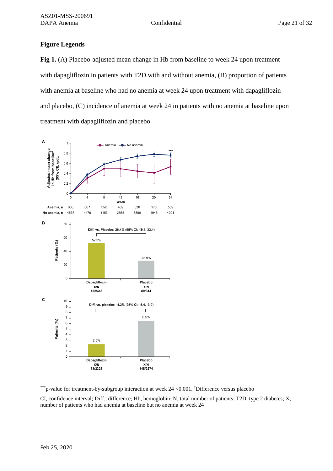# **Figure Legends**

**Fig 1.** (A) Placebo-adjusted mean change in Hb from baseline to week 24 upon treatment with dapagliflozin in patients with T2D with and without anemia, (B) proportion of patients with anemia at baseline who had no anemia at week 24 upon treatment with dapagliflozin and placebo, (C) incidence of anemia at week 24 in patients with no anemia at baseline upon treatment with dapagliflozin and placebo



\*\*\*p-value for treatment-by-subgroup interaction at week 24 < 0.001. The position place both

CI, confidence interval; Diff., difference; Hb, hemoglobin; N, total number of patients; T2D, type 2 diabetes; X, number of patients who had anemia at baseline but no anemia at week 24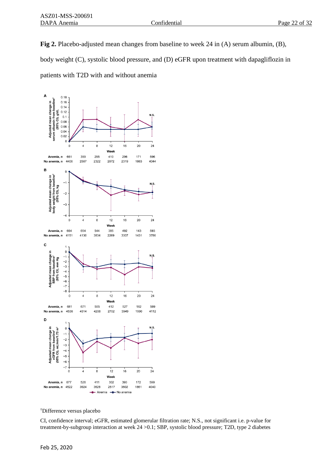**Fig 2.** Placebo-adjusted mean changes from baseline to week 24 in (A) serum albumin, (B), body weight (C), systolic blood pressure, and (D) eGFR upon treatment with dapagliflozin in patients with T2D with and without anemia



†Difference versus placebo

CI, confidence interval; eGFR, estimated glomerular filtration rate; N.S., not significant i.e. p-value for treatment-by-subgroup interaction at week 24 >0.1; SBP, systolic blood pressure; T2D, type 2 diabetes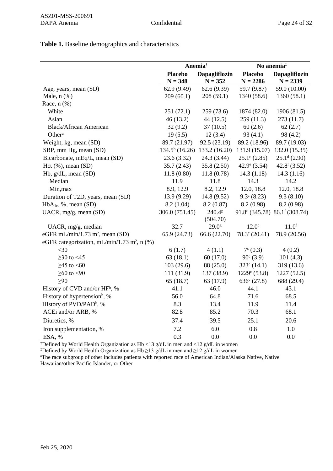# **Table 1.** Baseline demographics and characteristics

|                                                         | Anemia <sup>†</sup>         |                                   | No anemia <sup>‡</sup>       |                                         |
|---------------------------------------------------------|-----------------------------|-----------------------------------|------------------------------|-----------------------------------------|
|                                                         | <b>Placebo</b><br>$N = 348$ | <b>Dapagliflozin</b><br>$N = 352$ | <b>Placebo</b><br>$N = 2286$ | <b>Dapagliflozin</b><br>$N = 2339$      |
| Age, years, mean (SD)                                   | 62.9(9.49)                  | 62.6(9.39)                        | 59.7 (9.87)                  | 59.0 (10.00)                            |
| Male, $n$ $(\%)$                                        | 209(60.1)                   | 208(59.1)                         | 1340 (58.6)                  | 1360(58.1)                              |
| Race, $n$ $(\%)$                                        |                             |                                   |                              |                                         |
| White                                                   | 251(72.1)                   | 259 (73.6)                        | 1874 (82.0)                  | 1906 (81.5)                             |
| Asian                                                   | 46(13.2)                    | 44(12.5)                          | 259(11.3)                    | 273(11.7)                               |
| <b>Black/African American</b>                           | 32(9.2)                     | 37(10.5)                          | 60(2.6)                      | 62(2.7)                                 |
| Other <sup>a</sup>                                      | 19(5.5)                     | 12(3.4)                           | 93(4.1)                      | 98 (4.2)                                |
| Weight, kg, mean (SD)                                   | 89.7 (21.97)                | 92.5 (23.19)                      | 89.2 (18.96)                 | 89.7 (19.03)                            |
| SBP, mm Hg, mean (SD)                                   | $134.5b$ (16.26)            | 133.2 (16.20)                     | 131.9 (15.07)                | 132.0(15.35)                            |
| Bicarbonate, mEq/L, mean (SD)                           | 23.6(3.32)                  | 24.3 (3.44)                       | $25.1^{\circ}$ (2.85)        | $25.1d$ (2.90)                          |
| Hct $(\%),$ mean $(SD)$                                 | 35.7(2.43)                  | 35.8(2.50)                        | 42.9 $^e$ (3.54)             | $42.8f$ (3.52)                          |
| Hb, g/dL, mean (SD)                                     | 11.8(0.80)                  | 11.8(0.78)                        | 14.3(1.18)                   | 14.3(1.16)                              |
| Median                                                  | 11.9                        | 11.8                              | 14.3                         | 14.2                                    |
| Min, max                                                | 8.9, 12.9                   | 8.2, 12.9                         | 12.0, 18.8                   | 12.0, 18.8                              |
| Duration of T2D, years, mean (SD)                       | 13.9 (9.29)                 | 14.8 (9.52)                       | $9.3^{\circ}$ (8.23)         | 9.3(8.10)                               |
| HbA <sub>1c</sub> , %, mean (SD)                        | 8.2(1.04)                   | 8.2(0.87)                         | 8.2(0.98)                    | 8.2 (0.98)                              |
| UACR, mg/g, mean (SD)                                   | 306.0 (751.45)              | 240.4 <sup>g</sup>                |                              | 91.8° (345.78) 86.1 $^{\rm f}$ (308.74) |
|                                                         |                             | (504.70)                          |                              |                                         |
| UACR, mg/g, median                                      | 32.7                        | $29.0$ g                          | 12.0 <sup>c</sup>            | 11.0 <sup>f</sup>                       |
| eGFR mL/min/1.73 m <sup>2</sup> , mean (SD)             | 65.9 (24.73)                | 66.6 (22.70)                      | $78.3^{\circ}$ (20.41)       | 78.9 (20.56)                            |
| eGFR categorization, mL/min/1.73 m <sup>2</sup> , n (%) |                             |                                   |                              |                                         |
| $<$ 30                                                  | 6(1.7)                      | 4(1.1)                            | $7^{\circ}$ (0.3)            | 4(0.2)                                  |
| $≥30$ to <45                                            | 63(18.1)                    | 60(17.0)                          | $90^{\circ}$ (3.9)           | 101(4.3)                                |
| $≥45$ to $≤60$                                          | 103(29.6)                   | 88 (25.0)                         | $323^{\circ}$ (14.1)         | 319 (13.6)                              |
| $≥60$ to <90                                            | 111 (31.9)                  | 137 (38.9)                        | $1229^{\circ}$ (53.8)        | 1227(52.5)                              |
| >90                                                     | 65(18.7)                    | 63 (17.9)                         | $636^{\circ}$ (27.8)         | 688 (29.4)                              |
| History of CVD and/or HF <sup>h</sup> , %               | 41.1                        | 46.0                              | 44.1                         | 43.1                                    |
| History of hypertension <sup>h</sup> , %                | 56.0                        | 64.8                              | 71.6                         | 68.5                                    |
| History of PVD/PAD <sup>h</sup> , %                     | 8.3                         | 13.4                              | 11.9                         | 11.4                                    |
| ACEi and/or ARB, %                                      | 82.8                        | 85.2                              | 70.3                         | 68.1                                    |
| Diuretics, %                                            | 37.4                        | 39.5                              | 25.1                         | 20.6                                    |
| Iron supplementation, %                                 | 7.2                         | 6.0                               | 0.8                          | $1.0\,$                                 |
| ESA, %                                                  | 0.3                         | 0.0                               | 0.0                          | 0.0                                     |

†Defined by World Health Organization as Hb <13 g/dL in men and <12 g/dL in women

‡Defined by World Health Organization as Hb ≥13 g/dL in men and ≥12 g/dL in women

aThe race subgroup of other includes patients with reported race of American Indian/Alaska Native, Native Hawaiian/other Pacific Islander, or Other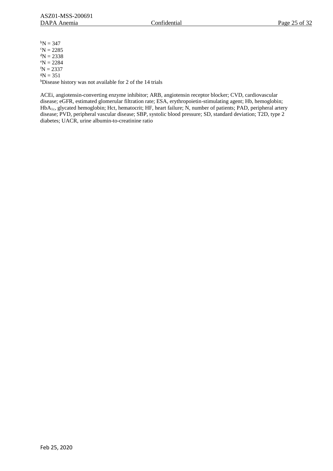${}^{b}N = 347$  $\mathrm{cN} = 2285$  ${}^{d}N = 2338$  ${}^{\text{e}}N = 2284$  ${}^{f}N = 2337$  $^gN = 351$ hDisease history was not available for 2 of the 14 trials

ACEi, angiotensin-converting enzyme inhibitor; ARB, angiotensin receptor blocker; CVD, cardiovascular disease; eGFR, estimated glomerular filtration rate; ESA, erythropoietin-stimulating agent; Hb, hemoglobin; HbA1c, glycated hemoglobin; Hct, hematocrit; HF, heart failure; N, number of patients; PAD, peripheral artery disease; PVD, peripheral vascular disease; SBP, systolic blood pressure; SD, standard deviation; T2D, type 2 diabetes; UACR, urine albumin-to-creatinine ratio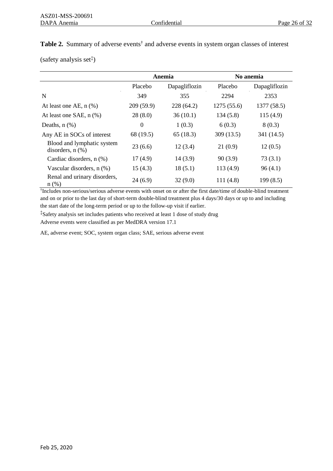| Table 2. Summary of adverse events <sup>†</sup> and adverse events in system organ classes of interest |
|--------------------------------------------------------------------------------------------------------|
| (safety analysis set <sup>†</sup> )                                                                    |

|                                                     | Anemia         |               | No anemia   |               |
|-----------------------------------------------------|----------------|---------------|-------------|---------------|
|                                                     | Placebo        | Dapagliflozin | Placebo     | Dapagliflozin |
| N                                                   | 349            | 355           | 2294        | 2353          |
| At least one AE, $n$ $%$ )                          | 209(59.9)      | 228 (64.2)    | 1275 (55.6) | 1377 (58.5)   |
| At least one SAE, $n$ $%$ )                         | 28(8.0)        | 36(10.1)      | 134(5.8)    | 115(4.9)      |
| Deaths, $n$ $(\%)$                                  | $\overline{0}$ | 1(0.3)        | 6(0.3)      | 8(0.3)        |
| Any AE in SOCs of interest                          | 68 (19.5)      | 65(18.3)      | 309(13.5)   | 341 (14.5)    |
| Blood and lymphatic system<br>disorders, $n$ $(\%)$ | 23(6.6)        | 12(3.4)       | 21(0.9)     | 12(0.5)       |
| Cardiac disorders, n (%)                            | 17(4.9)        | 14(3.9)       | 90(3.9)     | 73(3.1)       |
| Vascular disorders, n (%)                           | 15(4.3)        | 18(5.1)       | 113 (4.9)   | 96(4.1)       |
| Renal and urinary disorders,<br>$n$ (%)             | 24(6.9)        | 32(9.0)       | 111(4.8)    | 199(8.5)      |

† Includes non-serious/serious adverse events with onset on or after the first date/time of double-blind treatment and on or prior to the last day of short-term double-blind treatment plus 4 days/30 days or up to and including the start date of the long-term period or up to the follow-up visit if earlier.

‡Safety analysis set includes patients who received at least 1 dose of study drug

Adverse events were classified as per MedDRA version 17.1

AE, adverse event; SOC, system organ class; SAE, serious adverse event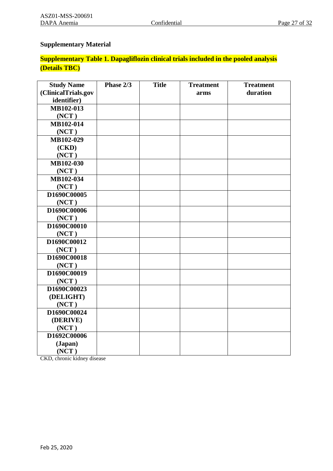# **Supplementary Material**

# **Supplementary Table 1. Dapagliflozin clinical trials included in the pooled analysis (Details TBC)**

| <b>Study Name</b>   | Phase 2/3 | <b>Title</b> | <b>Treatment</b> | <b>Treatment</b> |
|---------------------|-----------|--------------|------------------|------------------|
| (ClinicalTrials.gov |           |              | arms             | duration         |
| identifier)         |           |              |                  |                  |
| MB102-013           |           |              |                  |                  |
| (NOT)               |           |              |                  |                  |
| MB102-014           |           |              |                  |                  |
| (NOT)               |           |              |                  |                  |
| MB102-029           |           |              |                  |                  |
| (CKD)               |           |              |                  |                  |
| (NOT)               |           |              |                  |                  |
| MB102-030           |           |              |                  |                  |
| (NCT)               |           |              |                  |                  |
| MB102-034           |           |              |                  |                  |
| (NOT)               |           |              |                  |                  |
| D1690C00005         |           |              |                  |                  |
| (NOT)               |           |              |                  |                  |
| D1690C00006         |           |              |                  |                  |
| (NOT)               |           |              |                  |                  |
| D1690C00010         |           |              |                  |                  |
| (NOT)               |           |              |                  |                  |
| D1690C00012         |           |              |                  |                  |
| (NCT)               |           |              |                  |                  |
| D1690C00018         |           |              |                  |                  |
| (NOT)               |           |              |                  |                  |
| D1690C00019         |           |              |                  |                  |
| (NOT)               |           |              |                  |                  |
| D1690C00023         |           |              |                  |                  |
| (DELIGHT)           |           |              |                  |                  |
| (NOT)               |           |              |                  |                  |
| D1690C00024         |           |              |                  |                  |
| (DERIVE)            |           |              |                  |                  |
| (NOT)               |           |              |                  |                  |
| D1692C00006         |           |              |                  |                  |
| (Japan)             |           |              |                  |                  |
| (NOT)               |           |              |                  |                  |

CKD, chronic kidney disease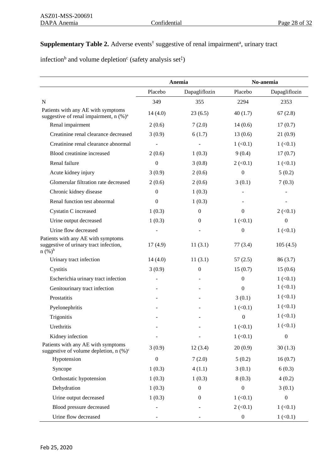# Supplementary Table 2. Adverse events<sup>†</sup> suggestive of renal impairment<sup>a</sup>, urinary tract

infection<sup>b</sup> and volume depletion<sup>c</sup> (safety analysis set<sup> $\ddagger$ </sup>)

|                                                                                            | Anemia           |                  | No-anemia              |                        |
|--------------------------------------------------------------------------------------------|------------------|------------------|------------------------|------------------------|
|                                                                                            | Placebo          | Dapagliflozin    | Placebo                | Dapagliflozin          |
| N                                                                                          | 349              | 355              | 2294                   | 2353                   |
| Patients with any AE with symptoms<br>suggestive of renal impairment, n (%) <sup>a</sup>   | 14(4.0)          | 23(6.5)          | 40(1.7)                | 67(2.8)                |
| Renal impairment                                                                           | 2(0.6)           | 7(2.0)           | 14(0.6)                | 17(0.7)                |
| Creatinine renal clearance decreased                                                       | 3(0.9)           | 6(1.7)           | 13(0.6)                | 21(0.9)                |
| Creatinine renal clearance abnormal                                                        |                  |                  | 1 (< 0.1)              | $1 \left( 0.1 \right)$ |
| Blood creatinine increased                                                                 | 2(0.6)           | 1(0.3)           | 9(0.4)                 | 17(0.7)                |
| Renal failure                                                                              | $\boldsymbol{0}$ | 3(0.8)           | $2 \left( 0.1 \right)$ | $1 \left( 0.1 \right)$ |
| Acute kidney injury                                                                        | 3(0.9)           | 2(0.6)           | $\boldsymbol{0}$       | 5(0.2)                 |
| Glomerular filtration rate decreased                                                       | 2(0.6)           | 2(0.6)           | 3(0.1)                 | 7(0.3)                 |
| Chronic kidney disease                                                                     | $\boldsymbol{0}$ | 1(0.3)           |                        |                        |
| Renal function test abnormal                                                               | $\overline{0}$   | 1(0.3)           |                        |                        |
| Cystatin C increased                                                                       | 1(0.3)           | $\overline{0}$   | $\boldsymbol{0}$       | $2 \left( 0.1 \right)$ |
| Urine output decreased                                                                     | 1(0.3)           | $\overline{0}$   | 1 (< 0.1)              | $\boldsymbol{0}$       |
| Urine flow decreased                                                                       |                  |                  | $\boldsymbol{0}$       | $1 \left( 0.1 \right)$ |
| Patients with any AE with symptoms<br>suggestive of urinary tract infection,<br>$n (%)^b$  | 17(4.9)          | 11(3.1)          | 77(3.4)                | 105(4.5)               |
| Urinary tract infection                                                                    | 14(4.0)          | 11(3.1)          | 57(2.5)                | 86(3.7)                |
| Cystitis                                                                                   | 3(0.9)           | $\boldsymbol{0}$ | 15(0.7)                | 15(0.6)                |
| Escherichia urinary tract infection                                                        |                  |                  | $\mathbf{0}$           | $1 \left( 0.1 \right)$ |
| Genitourinary tract infection                                                              |                  |                  | $\Omega$               | $1 \left( 0.1 \right)$ |
| Prostatitis                                                                                |                  |                  | 3(0.1)                 | $1 \left( 0.1 \right)$ |
| Pyelonephritis                                                                             |                  |                  | 1 (< 0.1)              | $1 \left( 0.1 \right)$ |
| Trigonitis                                                                                 |                  |                  | $\boldsymbol{0}$       | 1 (< 0.1)              |
| Urethritis                                                                                 |                  |                  | $1 \left( 0.1 \right)$ | $1 \left( 0.1 \right)$ |
| Kidney infection                                                                           |                  |                  | 1 (< 0.1)              | $\boldsymbol{0}$       |
| Patients with any AE with symptoms<br>suggestive of volume depletion, $n$ (%) <sup>c</sup> | 3(0.9)           | 12(3.4)          | 20(0.9)                | 30(1.3)                |
| Hypotension                                                                                | $\mathbf{0}$     | 7(2.0)           | 5(0.2)                 | 16(0.7)                |
| Syncope                                                                                    | 1(0.3)           | 4(1.1)           | 3(0.1)                 | 6(0.3)                 |
| Orthostatic hypotension                                                                    | 1(0.3)           | 1(0.3)           | 8(0.3)                 | 4(0.2)                 |
| Dehydration                                                                                | 1(0.3)           | $\overline{0}$   | $\boldsymbol{0}$       | 3(0.1)                 |
| Urine output decreased                                                                     | 1(0.3)           | $\Omega$         | 1 (< 0.1)              | $\boldsymbol{0}$       |
| Blood pressure decreased                                                                   |                  |                  | $2 \left( 0.1 \right)$ | $1 \left( 0.1 \right)$ |
| Urine flow decreased                                                                       |                  |                  | $\boldsymbol{0}$       | $1 \left( 0.1 \right)$ |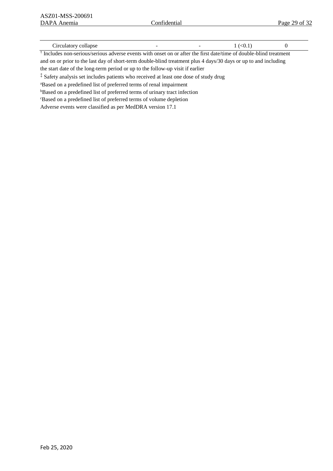| Circulatory collapse |  | $1 \times 0.1$ |  |
|----------------------|--|----------------|--|
|                      |  |                |  |

† Includes non-serious/serious adverse events with onset on or after the first date/time of double-blind treatment and on or prior to the last day of short-term double-blind treatment plus 4 days/30 days or up to and including the start date of the long-term period or up to the follow-up visit if earlier

‡ Safety analysis set includes patients who received at least one dose of study drug

<sup>a</sup>Based on a predefined list of preferred terms of renal impairment

<sup>b</sup>Based on a predefined list of preferred terms of urinary tract infection

<sup>c</sup>Based on a predefined list of preferred terms of volume depletion

Adverse events were classified as per MedDRA version 17.1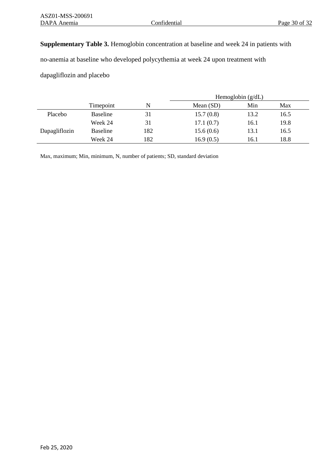# **Supplementary Table 3.** Hemoglobin concentration at baseline and week 24 in patients with

no-anemia at baseline who developed polycythemia at week 24 upon treatment with

dapagliflozin and placebo

|               |                 |     | Hemoglobin $(g/dL)$ |      |      |  |
|---------------|-----------------|-----|---------------------|------|------|--|
|               | Timepoint       | N   | Mean $(SD)$         | Min  | Max  |  |
| Placebo       | <b>Baseline</b> | 31  | 15.7(0.8)           | 13.2 | 16.5 |  |
|               | Week 24         | 31  | 17.1(0.7)           | 16.1 | 19.8 |  |
| Dapagliflozin | <b>Baseline</b> | 182 | 15.6(0.6)           | 13.1 | 16.5 |  |
|               | Week 24         | 182 | 16.9(0.5)           | 16.1 | 18.8 |  |

Max, maximum; Min, minimum, N, number of patients; SD, standard deviation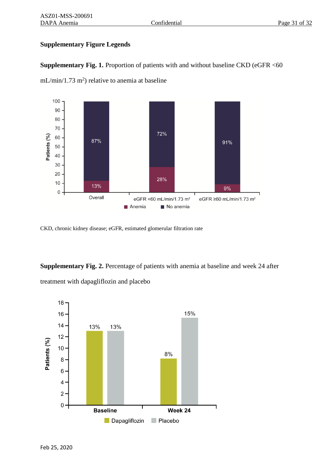# **Supplementary Figure Legends**



**Supplementary Fig. 1.** Proportion of patients with and without baseline CKD (eGFR <60

 $mL/min/1.73 m<sup>2</sup>$ ) relative to anemia at baseline

CKD, chronic kidney disease; eGFR, estimated glomerular filtration rate

**Supplementary Fig. 2.** Percentage of patients with anemia at baseline and week 24 after treatment with dapagliflozin and placebo